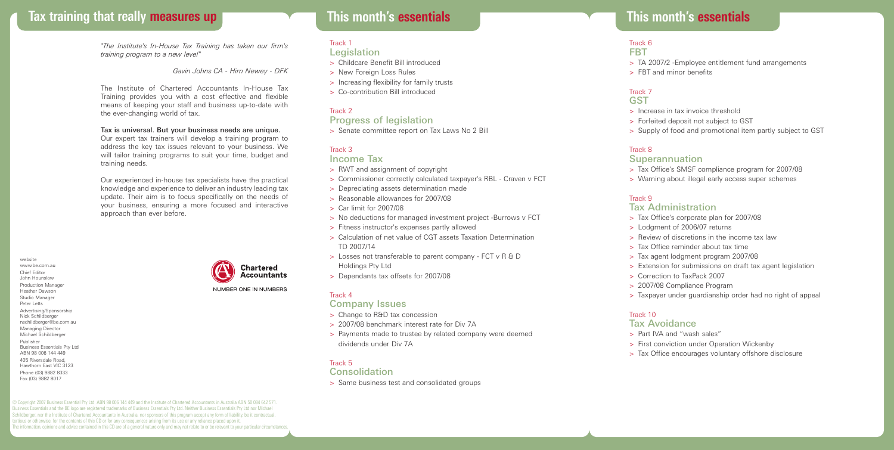# **Tax training that really measures up This month's essentials**

*"The Institute's In-House Tax Training has taken our firm's training program to a new level"*

*Gavin Johns CA - Hirn Newey - DFK*

The Institute of Chartered Accountants In-House Tax Training provides you with a cost effective and flexible means of keeping your staff and business up-to-date with the ever-changing world of tax.

#### Tax is universal. But your business needs are unique.

Our expert tax trainers will develop a training program to address the key tax issues relevant to your business. We will tailor training programs to suit your time, budget and training needs.

Our experienced in-house tax specialists have the practical knowledge and experience to deliver an industry leading tax update. Their aim is to focus specifically on the needs of your business, ensuring a more focused and interactive approach than ever before.

website www.be.com.au Chief Editor John Hounslow Production Manager Heather Dawson Studio Manager Peter Letts Advertising/Sponsorship Nick Schildberger nschildberger@be.com.au Managing Director Michael Schildberger Publisher Business Essentials Pty Ltd ABN 98 006 144 449 405 Riversdale Road, Hawthorn East VIC 3123 Phone (03) 9882 8333 Fax (03) 9882 8017

**Chartered Accountants**  **This month's essentials**

#### Track 1 **Legislation**

- > Childcare Benefit Bill introduced
- > New Foreign Loss Rules
- > Increasing flexibility for family trusts
- > Co-contribution Bill introduced

#### Track 2

### Progress of legislation

> Senate committee report on Tax Laws No 2 Bill

#### Track 3

#### Income Tax

- > RWT and assignment of copyright
- > Commissioner correctly calculated taxpayer's RBL Craven v FCT
- > Depreciating assets determination made
- > Reasonable allowances for 2007/08
- > Car limit for 2007/08
- > No deductions for managed investment project -Burrows v FCT
- > Fitness instructor's expenses partly allowed
- > Calculation of net value of CGT assets Taxation Determination TD 2007/14
- > Losses not transferable to parent company FCT v R & D Holdings Pty Ltd
- > Dependants tax offsets for 2007/08

#### Track 4

#### Company Issues

- > Change to R&D tax concession
- > 2007/08 benchmark interest rate for Div 7A
- > Payments made to trustee by related company were deemed dividends under Div 7A

#### Track 5

#### Consolidation

> Same business test and consolidated groups

#### Track 6 FBT

- 
- > TA 2007/2 -Employee entitlement fund arrangements > FBT and minor benefits

#### Track 7 **GST**

- > Increase in tax invoice threshold
- > Forfeited deposit not subject to GST
- > Supply of food and promotional item partly subject to GST

#### Track 8

#### **Superannuation**

- > Tax Office's SMSF compliance program for 2007/08
- > Warning about illegal early access super schemes

#### Track 9

#### Tax Administration

- > Tax Office's corporate plan for 2007/08
- > Lodgment of 2006/07 returns
- > Review of discretions in the income tax law
- > Tax Office reminder about tax time
- > Tax agent lodgment program 2007/08
- > Extension for submissions on draft tax agent legislation
- > Correction to TaxPack 2007
- > 2007/08 Compliance Program
- > Taxpayer under guardianship order had no right of appeal

#### Track 10

#### Tax Avoidance

- > Part IVA and "wash sales"
- > First conviction under Operation Wickenby
- > Tax Office encourages voluntary offshore disclosure

© Copyright 2007 Business Essential Pty Ltd ABN 98 006 144 449 and the Institute of Chartered Accountants in Australia ABN 50 084 642 571. Business Essentials and the BE logo are registered trademarks of Business Essentials Pty Ltd. Neither Business Essentials Pty Ltd nor Michael Schildberger, nor the Institute of Chartered Accountants in Australia, nor sponsors of this program accept any form of liability, be it contractual, tortious or otherwise, for the contents of this CD or for any consequences arising from its use or any reliance placed upon it. The information, opinions and advice contained in this CD are of a general nature only and may not relate to or be relevant to your particular circumstances.

# NUMBER ONE IN NUMBERS